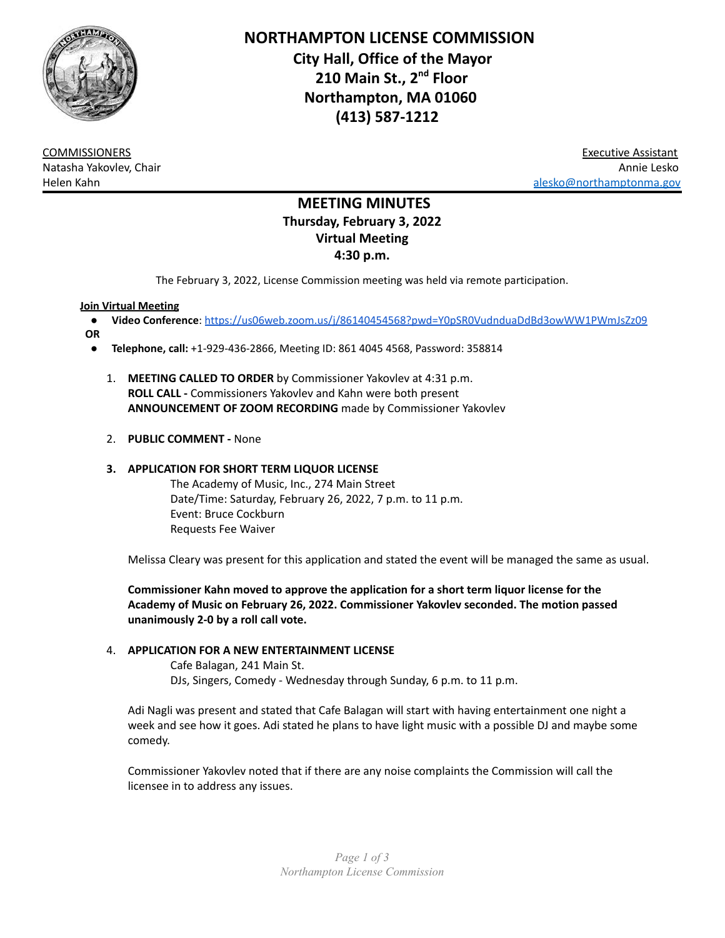

**NORTHAMPTON LICENSE COMMISSION City Hall, Office of the Mayor 210 Main St., 2 nd Floor Northampton, MA 01060 (413) 587-1212**

COMMISSIONERS Executive Assistant Natasha Yakovlev, Chair Annie Lesko Alexander Communication and the communication of the communication of the communication and the communication of the communication of the communication of the communication of the communication of the communication of the

# **MEETING MINUTES Thursday, February 3, 2022 Virtual Meeting 4:30 p.m.**

The February 3, 2022, License Commission meeting was held via remote participation.

### **Join Virtual Meeting**

- **Video Conference**: <https://us06web.zoom.us/j/86140454568?pwd=Y0pSR0VudnduaDdBd3owWW1PWmJsZz09>
- **OR**
	- **Telephone, call:** +1-929-436-2866, Meeting ID: 861 4045 4568, Password: 358814
		- 1. **MEETING CALLED TO ORDER** by Commissioner Yakovlev at 4:31 p.m. **ROLL CALL -** Commissioners Yakovlev and Kahn were both present **ANNOUNCEMENT OF ZOOM RECORDING** made by Commissioner Yakovlev
		- 2. **PUBLIC COMMENT -** None

# **3. APPLICATION FOR SHORT TERM LIQUOR LICENSE**

The Academy of Music, Inc., 274 Main Street Date/Time: Saturday, February 26, 2022, 7 p.m. to 11 p.m. Event: Bruce Cockburn Requests Fee Waiver

Melissa Cleary was present for this application and stated the event will be managed the same as usual.

**Commissioner Kahn moved to approve the application for a short term liquor license for the Academy of Music on February 26, 2022. Commissioner Yakovlev seconded. The motion passed unanimously 2-0 by a roll call vote.**

#### 4. **APPLICATION FOR A NEW ENTERTAINMENT LICENSE**

Cafe Balagan, 241 Main St. DJs, Singers, Comedy - Wednesday through Sunday, 6 p.m. to 11 p.m.

Adi Nagli was present and stated that Cafe Balagan will start with having entertainment one night a week and see how it goes. Adi stated he plans to have light music with a possible DJ and maybe some comedy.

Commissioner Yakovlev noted that if there are any noise complaints the Commission will call the licensee in to address any issues.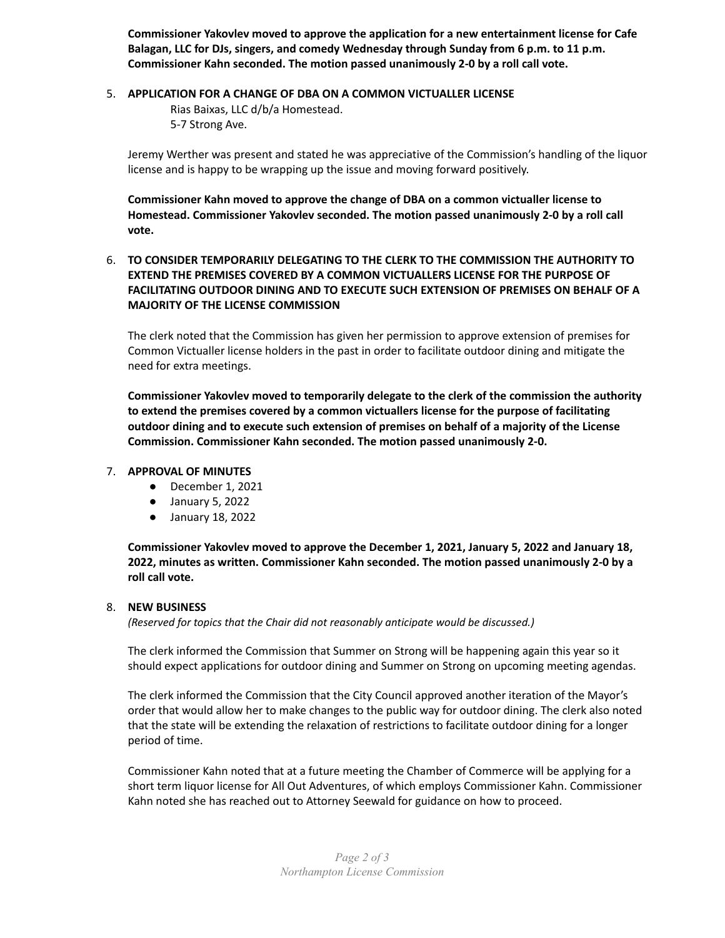**Commissioner Yakovlev moved to approve the application for a new entertainment license for Cafe Balagan, LLC for DJs, singers, and comedy Wednesday through Sunday from 6 p.m. to 11 p.m. Commissioner Kahn seconded. The motion passed unanimously 2-0 by a roll call vote.**

#### 5. **APPLICATION FOR A CHANGE OF DBA ON A COMMON VICTUALLER LICENSE**

Rias Baixas, LLC d/b/a Homestead. 5-7 Strong Ave.

Jeremy Werther was present and stated he was appreciative of the Commission's handling of the liquor license and is happy to be wrapping up the issue and moving forward positively.

**Commissioner Kahn moved to approve the change of DBA on a common victualler license to Homestead. Commissioner Yakovlev seconded. The motion passed unanimously 2-0 by a roll call vote.**

# 6. **TO CONSIDER TEMPORARILY DELEGATING TO THE CLERK TO THE COMMISSION THE AUTHORITY TO EXTEND THE PREMISES COVERED BY A COMMON VICTUALLERS LICENSE FOR THE PURPOSE OF FACILITATING OUTDOOR DINING AND TO EXECUTE SUCH EXTENSION OF PREMISES ON BEHALF OF A MAJORITY OF THE LICENSE COMMISSION**

The clerk noted that the Commission has given her permission to approve extension of premises for Common Victualler license holders in the past in order to facilitate outdoor dining and mitigate the need for extra meetings.

**Commissioner Yakovlev moved to temporarily delegate to the clerk of the commission the authority to extend the premises covered by a common victuallers license for the purpose of facilitating outdoor dining and to execute such extension of premises on behalf of a majority of the License Commission. Commissioner Kahn seconded. The motion passed unanimously 2-0.**

#### 7. **APPROVAL OF MINUTES**

- December 1, 2021
- January 5, 2022
- January 18, 2022

**Commissioner Yakovlev moved to approve the December 1, 2021, January 5, 2022 and January 18, 2022, minutes as written. Commissioner Kahn seconded. The motion passed unanimously 2-0 by a roll call vote.**

#### 8. **NEW BUSINESS**

*(Reserved for topics that the Chair did not reasonably anticipate would be discussed.)*

The clerk informed the Commission that Summer on Strong will be happening again this year so it should expect applications for outdoor dining and Summer on Strong on upcoming meeting agendas.

The clerk informed the Commission that the City Council approved another iteration of the Mayor's order that would allow her to make changes to the public way for outdoor dining. The clerk also noted that the state will be extending the relaxation of restrictions to facilitate outdoor dining for a longer period of time.

Commissioner Kahn noted that at a future meeting the Chamber of Commerce will be applying for a short term liquor license for All Out Adventures, of which employs Commissioner Kahn. Commissioner Kahn noted she has reached out to Attorney Seewald for guidance on how to proceed.